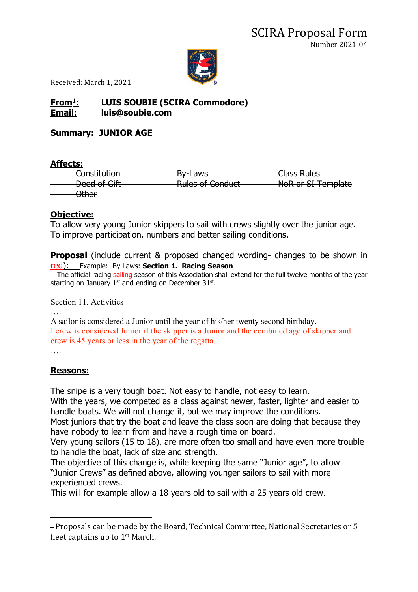

Received: March 1, 2021

# **From**[1](#page-0-0): **LUIS SOUBIE (SCIRA Commodore) Email: luis@soubie.com**

## **Summary: JUNIOR AGE**

### **Affects:**

Constitution <del>- By-Laws Class Rules</del> Deed of Gift Rules of Conduct NoR or SI Template Other

## **Objective:**

To allow very young Junior skippers to sail with crews slightly over the junior age. To improve participation, numbers and better sailing conditions.

#### **Proposal** (include current & proposed changed wording- changes to be shown in red): Example: By Laws: **Section 1. Racing Season**

The official racing sailing season of this Association shall extend for the full twelve months of the year starting on January  $1<sup>st</sup>$  and ending on December 31 $<sup>st</sup>$ .</sup>

Section 11. Activities

….

A sailor is considered a Junior until the year of his/her twenty second birthday. I crew is considered Junior if the skipper is a Junior and the combined age of skipper and crew is 45 years or less in the year of the regatta.

….

## **Reasons:**

The snipe is a very tough boat. Not easy to handle, not easy to learn.

With the years, we competed as a class against newer, faster, lighter and easier to handle boats. We will not change it, but we may improve the conditions.

Most juniors that try the boat and leave the class soon are doing that because they have nobody to learn from and have a rough time on board.

Very young sailors (15 to 18), are more often too small and have even more trouble to handle the boat, lack of size and strength.

The objective of this change is, while keeping the same "Junior age", to allow "Junior Crews" as defined above, allowing younger sailors to sail with more experienced crews.

This will for example allow a 18 years old to sail with a 25 years old crew.

<span id="page-0-0"></span> $1$  Proposals can be made by the Board, Technical Committee, National Secretaries or 5 fleet captains up to 1st March.